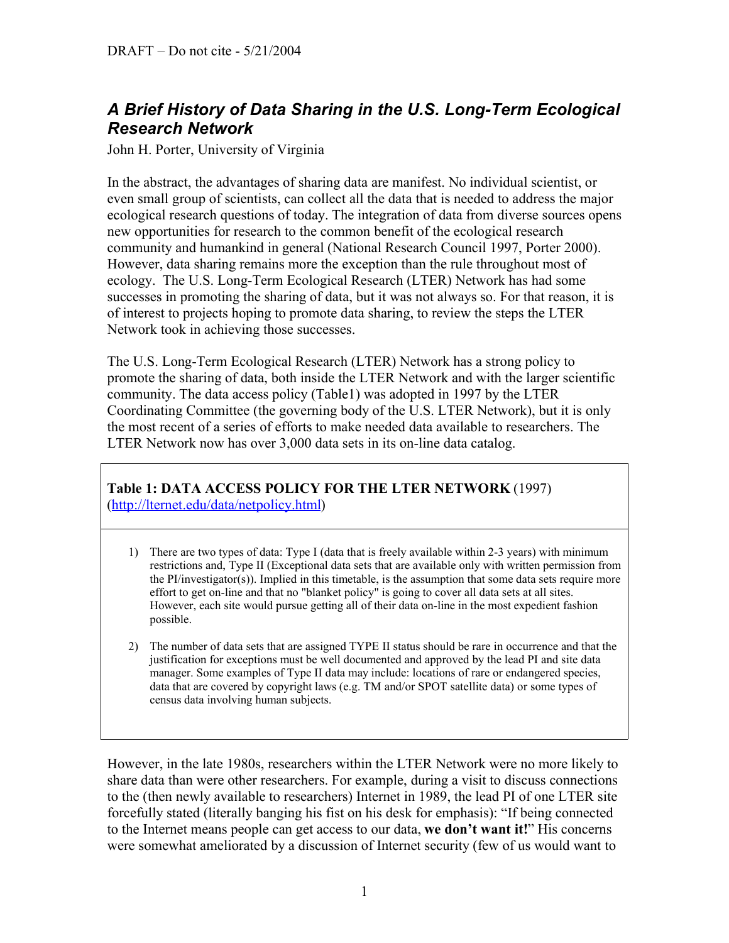## *A Brief History of Data Sharing in the U.S. Long-Term Ecological Research Network*

John H. Porter, University of Virginia

In the abstract, the advantages of sharing data are manifest. No individual scientist, or even small group of scientists, can collect all the data that is needed to address the major ecological research questions of today. The integration of data from diverse sources opens new opportunities for research to the common benefit of the ecological research community and humankind in general (National Research Council 1997, Porter 2000). However, data sharing remains more the exception than the rule throughout most of ecology. The U.S. Long-Term Ecological Research (LTER) Network has had some successes in promoting the sharing of data, but it was not always so. For that reason, it is of interest to projects hoping to promote data sharing, to review the steps the LTER Network took in achieving those successes.

The U.S. Long-Term Ecological Research (LTER) Network has a strong policy to promote the sharing of data, both inside the LTER Network and with the larger scientific community. The data access policy (Table1) was adopted in 1997 by the LTER Coordinating Committee (the governing body of the U.S. LTER Network), but it is only the most recent of a series of efforts to make needed data available to researchers. The LTER Network now has over 3,000 data sets in its on-line data catalog.

## **Table 1: DATA ACCESS POLICY FOR THE LTER NETWORK** (1997) (http://lternet.edu/data/netpolicy.html)

- 1) There are two types of data: Type I (data that is freely available within 2-3 years) with minimum restrictions and, Type II (Exceptional data sets that are available only with written permission from the PI/investigator(s)). Implied in this timetable, is the assumption that some data sets require more effort to get on-line and that no "blanket policy" is going to cover all data sets at all sites. However, each site would pursue getting all of their data on-line in the most expedient fashion possible.
- 2) The number of data sets that are assigned TYPE II status should be rare in occurrence and that the justification for exceptions must be well documented and approved by the lead PI and site data manager. Some examples of Type II data may include: locations of rare or endangered species, data that are covered by copyright laws (e.g. TM and/or SPOT satellite data) or some types of census data involving human subjects.

However, in the late 1980s, researchers within the LTER Network were no more likely to share data than were other researchers. For example, during a visit to discuss connections to the (then newly available to researchers) Internet in 1989, the lead PI of one LTER site forcefully stated (literally banging his fist on his desk for emphasis): "If being connected to the Internet means people can get access to our data, **we don't want it!**" His concerns were somewhat ameliorated by a discussion of Internet security (few of us would want to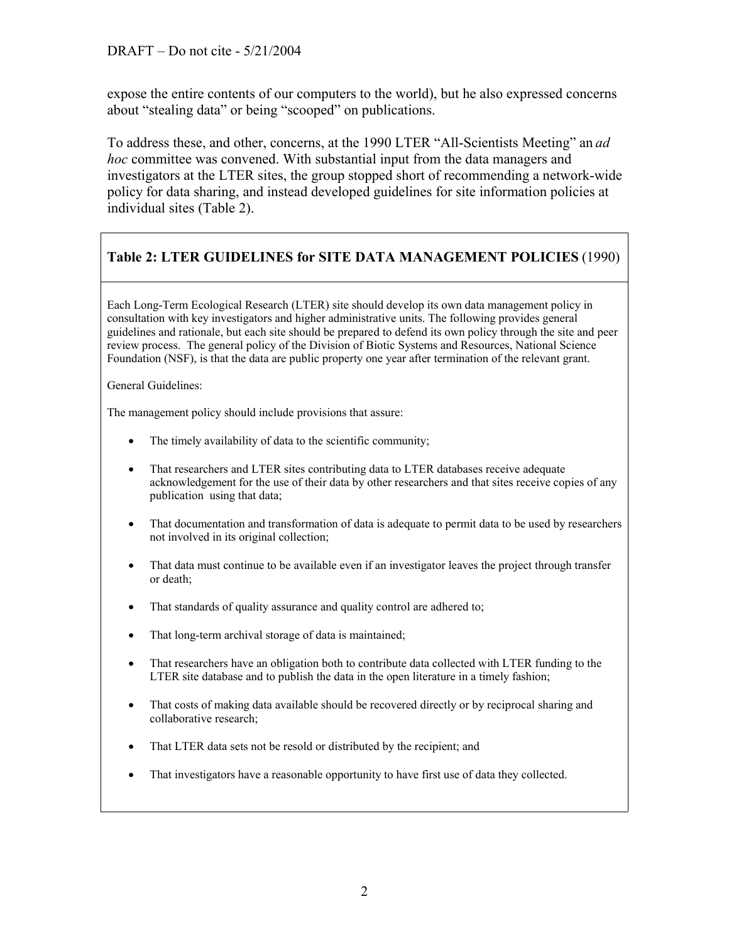expose the entire contents of our computers to the world), but he also expressed concerns about "stealing data" or being "scooped" on publications.

To address these, and other, concerns, at the 1990 LTER "All-Scientists Meeting" an *ad hoc* committee was convened. With substantial input from the data managers and investigators at the LTER sites, the group stopped short of recommending a network-wide policy for data sharing, and instead developed guidelines for site information policies at individual sites (Table 2).

## **Table 2: LTER GUIDELINES for SITE DATA MANAGEMENT POLICIES** (1990)

Each Long-Term Ecological Research (LTER) site should develop its own data management policy in consultation with key investigators and higher administrative units. The following provides general guidelines and rationale, but each site should be prepared to defend its own policy through the site and peer review process. The general policy of the Division of Biotic Systems and Resources, National Science Foundation (NSF), is that the data are public property one year after termination of the relevant grant.

General Guidelines:

The management policy should include provisions that assure:

- The timely availability of data to the scientific community;
- That researchers and LTER sites contributing data to LTER databases receive adequate acknowledgement for the use of their data by other researchers and that sites receive copies of any publication using that data;
- That documentation and transformation of data is adequate to permit data to be used by researchers not involved in its original collection;
- That data must continue to be available even if an investigator leaves the project through transfer or death;
- That standards of quality assurance and quality control are adhered to;
- That long-term archival storage of data is maintained;
- That researchers have an obligation both to contribute data collected with LTER funding to the LTER site database and to publish the data in the open literature in a timely fashion;
- That costs of making data available should be recovered directly or by reciprocal sharing and collaborative research;
- That LTER data sets not be resold or distributed by the recipient; and
- That investigators have a reasonable opportunity to have first use of data they collected.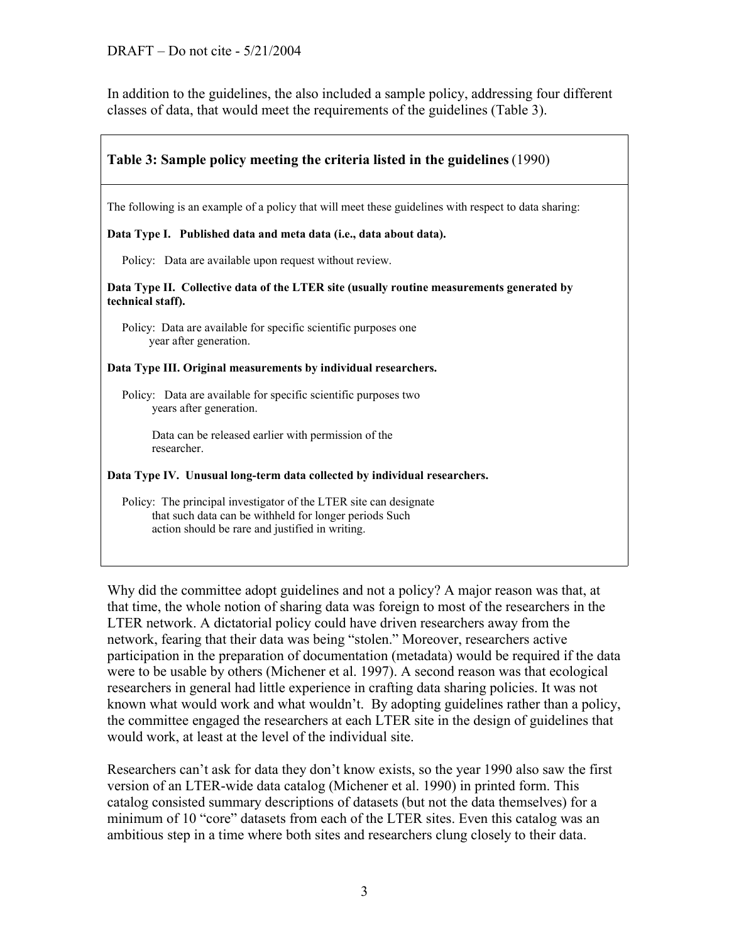In addition to the guidelines, the also included a sample policy, addressing four different classes of data, that would meet the requirements of the guidelines (Table 3).

| Table 3: Sample policy meeting the criteria listed in the guidelines (1990)                                                                                                    |
|--------------------------------------------------------------------------------------------------------------------------------------------------------------------------------|
| The following is an example of a policy that will meet these guidelines with respect to data sharing:                                                                          |
| Data Type I. Published data and meta data (i.e., data about data).                                                                                                             |
| Policy: Data are available upon request without review.                                                                                                                        |
| Data Type II. Collective data of the LTER site (usually routine measurements generated by<br>technical staff).                                                                 |
| Policy: Data are available for specific scientific purposes one<br>year after generation.                                                                                      |
| Data Type III. Original measurements by individual researchers.                                                                                                                |
| Policy: Data are available for specific scientific purposes two<br>years after generation.                                                                                     |
| Data can be released earlier with permission of the<br>researcher.                                                                                                             |
| Data Type IV. Unusual long-term data collected by individual researchers.                                                                                                      |
| Policy: The principal investigator of the LTER site can designate<br>that such data can be withheld for longer periods Such<br>action should be rare and justified in writing. |

Why did the committee adopt guidelines and not a policy? A major reason was that, at that time, the whole notion of sharing data was foreign to most of the researchers in the LTER network. A dictatorial policy could have driven researchers away from the network, fearing that their data was being "stolen." Moreover, researchers active participation in the preparation of documentation (metadata) would be required if the data were to be usable by others (Michener et al. 1997). A second reason was that ecological researchers in general had little experience in crafting data sharing policies. It was not known what would work and what wouldn't. By adopting guidelines rather than a policy, the committee engaged the researchers at each LTER site in the design of guidelines that would work, at least at the level of the individual site.

Researchers can't ask for data they don't know exists, so the year 1990 also saw the first version of an LTER-wide data catalog (Michener et al. 1990) in printed form. This catalog consisted summary descriptions of datasets (but not the data themselves) for a minimum of 10 "core" datasets from each of the LTER sites. Even this catalog was an ambitious step in a time where both sites and researchers clung closely to their data.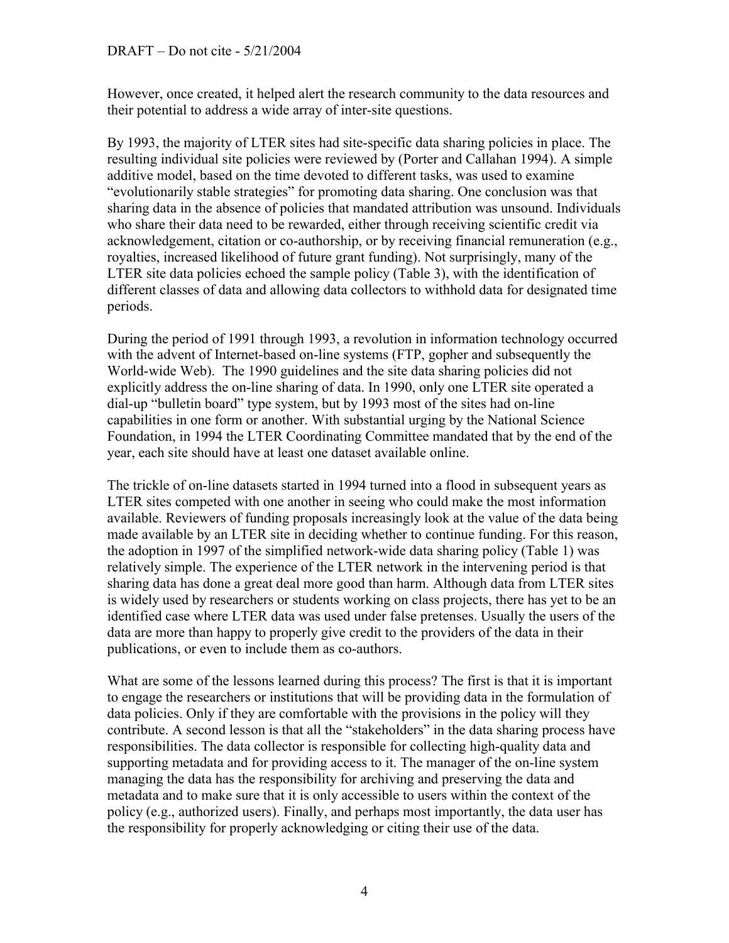However, once created, it helped alert the research community to the data resources and their potential to address a wide array of inter-site questions.

By 1993, the majority of LTER sites had site-specific data sharing policies in place. The resulting individual site policies were reviewed by (Porter and Callahan 1994). A simple additive model, based on the time devoted to different tasks, was used to examine "evolutionarily stable strategies" for promoting data sharing. One conclusion was that sharing data in the absence of policies that mandated attribution was unsound. Individuals who share their data need to be rewarded, either through receiving scientific credit via acknowledgement, citation or co-authorship, or by receiving financial remuneration (e.g., royalties, increased likelihood of future grant funding). Not surprisingly, many of the LTER site data policies echoed the sample policy (Table 3), with the identification of different classes of data and allowing data collectors to withhold data for designated time periods.

During the period of 1991 through 1993, a revolution in information technology occurred with the advent of Internet-based on-line systems (FTP, gopher and subsequently the World-wide Web). The 1990 guidelines and the site data sharing policies did not explicitly address the on-line sharing of data. In 1990, only one LTER site operated a dial-up "bulletin board" type system, but by 1993 most of the sites had on-line capabilities in one form or another. With substantial urging by the National Science Foundation, in 1994 the LTER Coordinating Committee mandated that by the end of the year, each site should have at least one dataset available online.

The trickle of on-line datasets started in 1994 turned into a flood in subsequent years as LTER sites competed with one another in seeing who could make the most information available. Reviewers of funding proposals increasingly look at the value of the data being made available by an LTER site in deciding whether to continue funding. For this reason, the adoption in 1997 of the simplified network-wide data sharing policy (Table 1) was relatively simple. The experience of the LTER network in the intervening period is that sharing data has done a great deal more good than harm. Although data from LTER sites is widely used by researchers or students working on class projects, there has yet to be an identified case where LTER data was used under false pretenses. Usually the users of the data are more than happy to properly give credit to the providers of the data in their publications, or even to include them as co-authors.

What are some of the lessons learned during this process? The first is that it is important to engage the researchers or institutions that will be providing data in the formulation of data policies. Only if they are comfortable with the provisions in the policy will they contribute. A second lesson is that all the "stakeholders" in the data sharing process have responsibilities. The data collector is responsible for collecting high-quality data and supporting metadata and for providing access to it. The manager of the on-line system managing the data has the responsibility for archiving and preserving the data and metadata and to make sure that it is only accessible to users within the context of the policy (e.g., authorized users). Finally, and perhaps most importantly, the data user has the responsibility for properly acknowledging or citing their use of the data.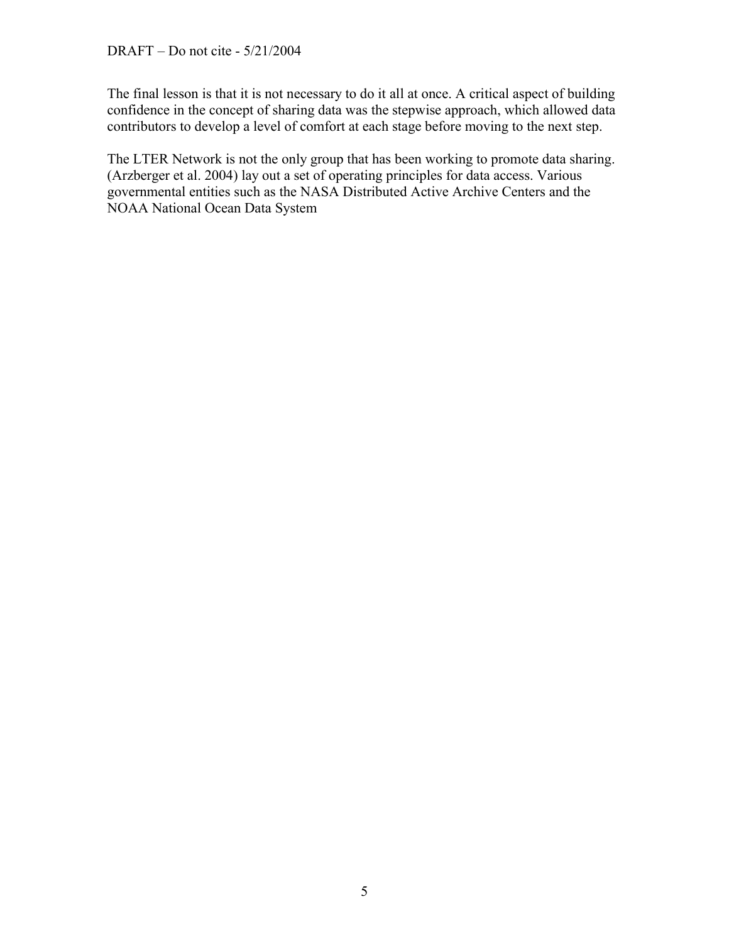The final lesson is that it is not necessary to do it all at once. A critical aspect of building confidence in the concept of sharing data was the stepwise approach, which allowed data contributors to develop a level of comfort at each stage before moving to the next step.

The LTER Network is not the only group that has been working to promote data sharing. (Arzberger et al. 2004) lay out a set of operating principles for data access. Various governmental entities such as the NASA Distributed Active Archive Centers and the NOAA National Ocean Data System